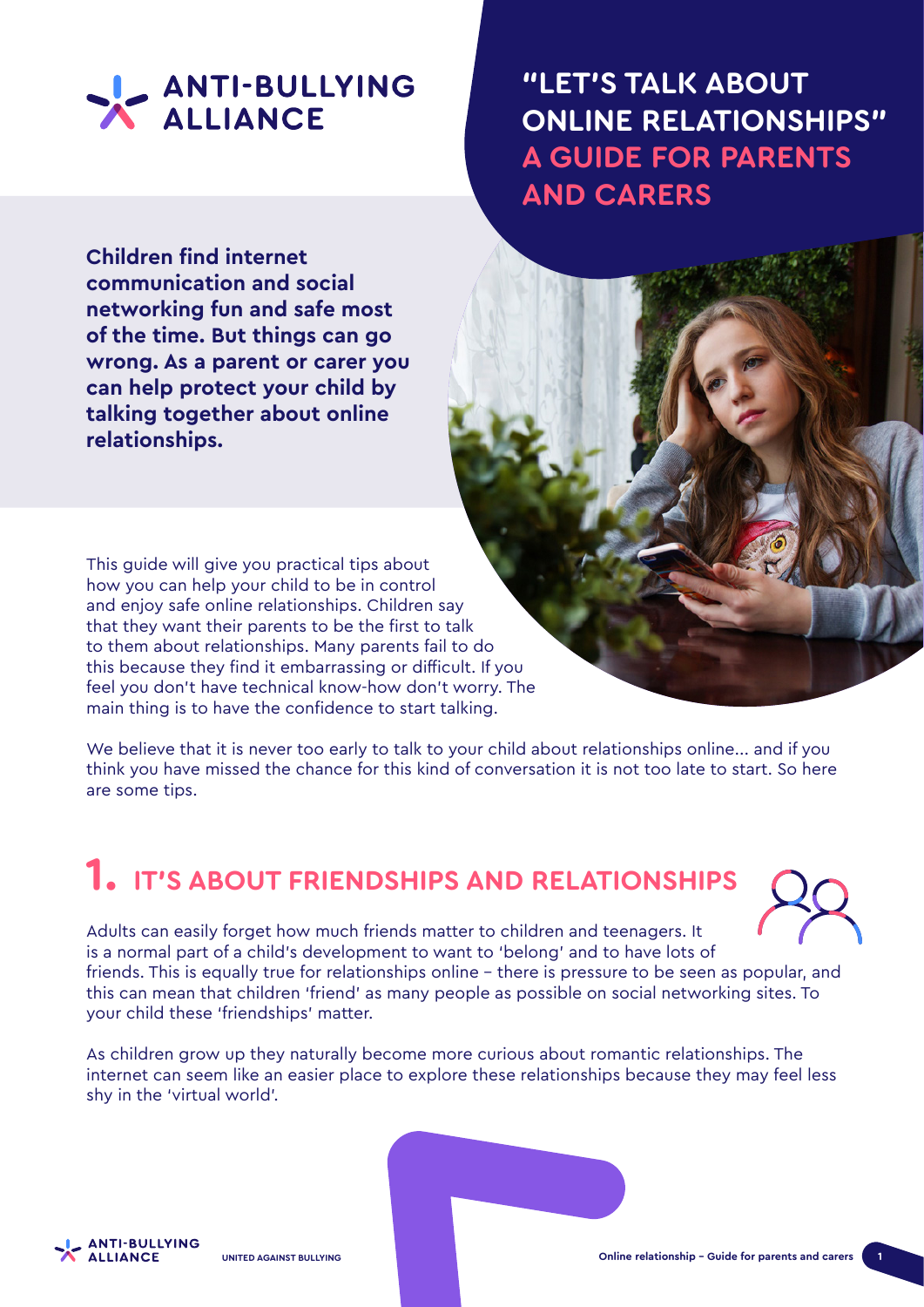

**Children find internet communication and social networking fun and safe most of the time. But things can go wrong. As a parent or carer you can help protect your child by talking together about online relationships.**

**"LET'S TALK ABOUT ONLINE RELATIONSHIPS" A GUIDE FOR PARENTS AND CARERS**

This guide will give you practical tips about how you can help your child to be in control and enjoy safe online relationships. Children say that they want their parents to be the first to talk to them about relationships. Many parents fail to do this because they find it embarrassing or difficult. If you feel you don't have technical know-how don't worry. The main thing is to have the confidence to start talking.

We believe that it is never too early to talk to your child about relationships online... and if you think you have missed the chance for this kind of conversation it is not too late to start. So here are some tips.

### **1. IT'S ABOUT FRIENDSHIPS AND RELATIONSHIPS**



Adults can easily forget how much friends matter to children and teenagers. It is a normal part of a child's development to want to 'belong' and to have lots of friends. This is equally true for relationships online – there is pressure to be seen as popular, and this can mean that children 'friend' as many people as possible on social networking sites. To your child these 'friendships' matter.

As children grow up they naturally become more curious about romantic relationships. The internet can seem like an easier place to explore these relationships because they may feel less shy in the 'virtual world'.

**ANTI-BULLYING ALLIANCE**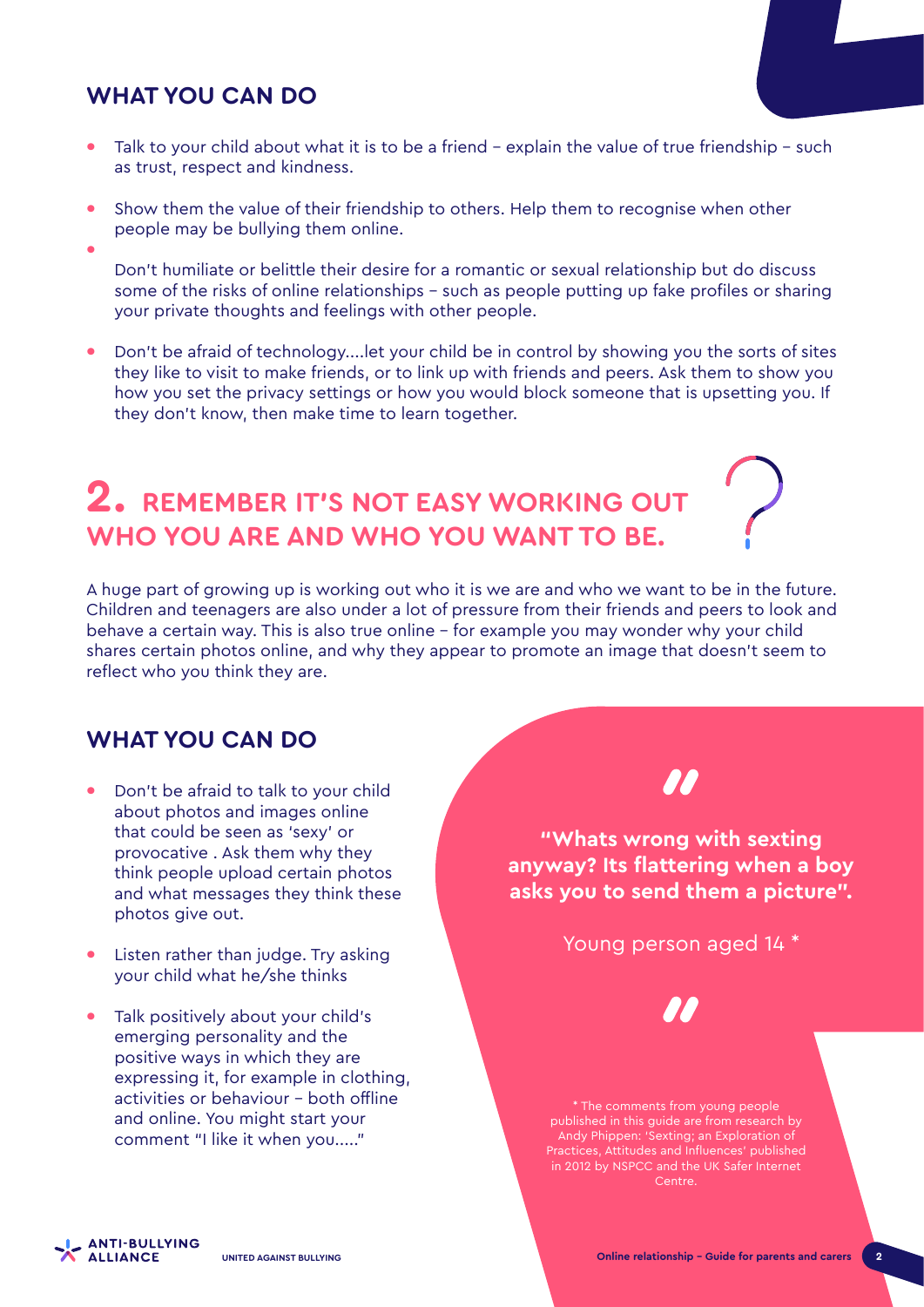### **WHAT YOU CAN DO**

- **•** Talk to your child about what it is to be a friend explain the value of true friendship such as trust, respect and kindness.
- **•** Show them the value of their friendship to others. Help them to recognise when other people may be bullying them online. **•**
	- Don't humiliate or belittle their desire for a romantic or sexual relationship but do discuss some of the risks of online relationships – such as people putting up fake profiles or sharing your private thoughts and feelings with other people.
- **•** Don't be afraid of technology....let your child be in control by showing you the sorts of sites they like to visit to make friends, or to link up with friends and peers. Ask them to show you how you set the privacy settings or how you would block someone that is upsetting you. If they don't know, then make time to learn together.

### **2. REMEMBER IT'S NOT EASY WORKING OUT WHO YOU ARE AND WHO YOU WANT TO BE.**

A huge part of growing up is working out who it is we are and who we want to be in the future. Children and teenagers are also under a lot of pressure from their friends and peers to look and behave a certain way. This is also true online – for example you may wonder why your child shares certain photos online, and why they appear to promote an image that doesn't seem to reflect who you think they are.

#### **WHAT YOU CAN DO**

- **•** Don't be afraid to talk to your child about photos and images online that could be seen as 'sexy' or provocative . Ask them why they think people upload certain photos and what messages they think these photos give out.
- **•** Listen rather than judge. Try asking your child what he/she thinks
- **•** Talk positively about your child's emerging personality and the positive ways in which they are expressing it, for example in clothing, activities or behaviour – both offline and online. You might start your comment "I like it when you....."

**"Whats wrong with sexting anyway? Its flattering when a boy asks you to send them a picture".** 

Young person aged 14 \*



\* The comments from young people published in this guide are from research by Andy Phippen: 'Sexting; an Exploration of Practices, Attitudes and Influences' published in 2012 by NSPCC and the UK Safer Internet Centre.

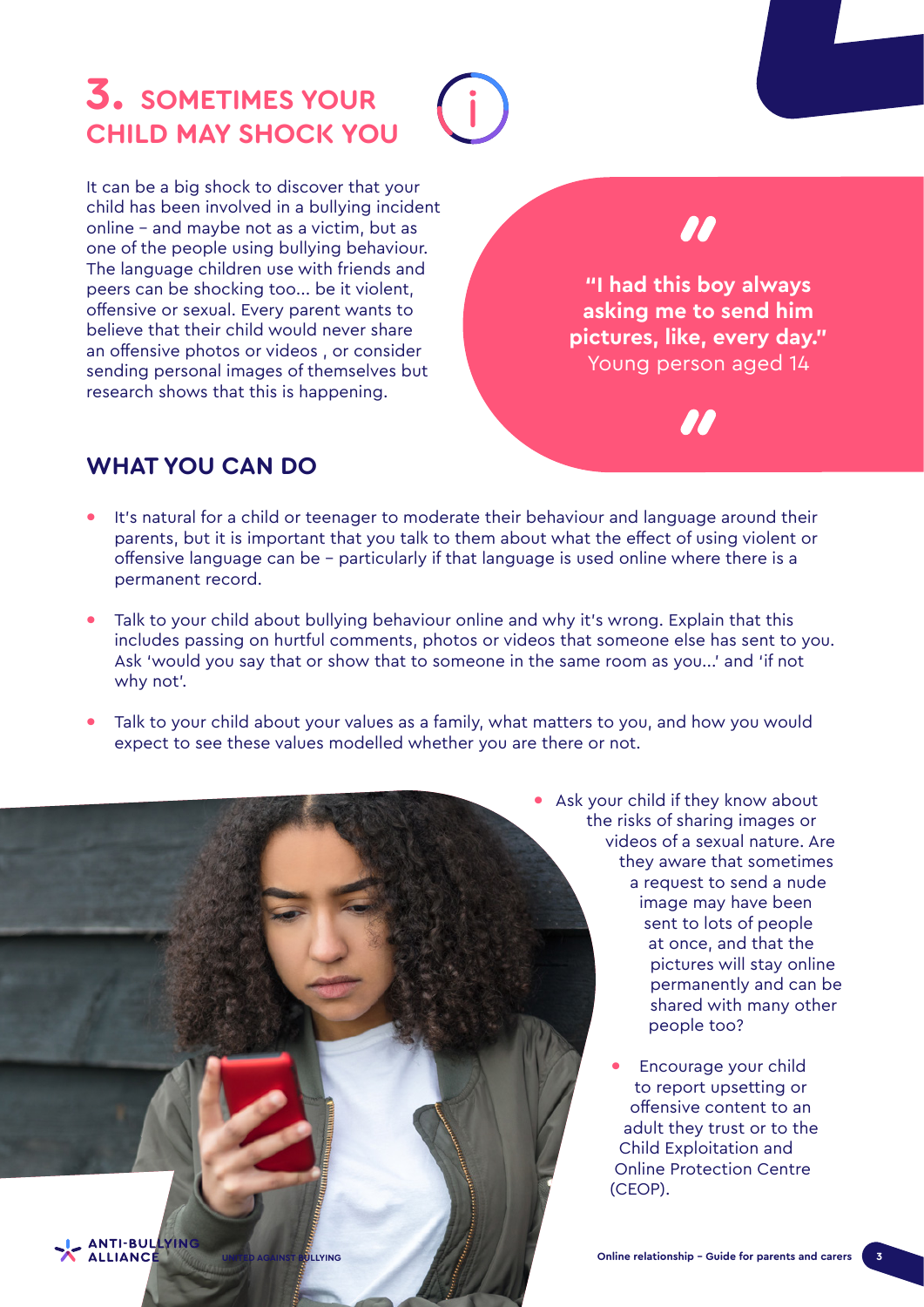## **3. SOMETIMES YOUR CHILD MAY SHOCK YOU**

It can be a big shock to discover that your child has been involved in a bullying incident online – and maybe not as a victim, but as one of the people using bullying behaviour. The language children use with friends and peers can be shocking too... be it violent, offensive or sexual. Every parent wants to believe that their child would never share an offensive photos or videos , or consider sending personal images of themselves but research shows that this is happening.

**"I had this boy always asking me to send him pictures, like, every day."**  Young person aged 14

#### **WHAT YOU CAN DO**

- **•** It's natural for a child or teenager to moderate their behaviour and language around their parents, but it is important that you talk to them about what the effect of using violent or offensive language can be – particularly if that language is used online where there is a permanent record.
- **•** Talk to your child about bullying behaviour online and why it's wrong. Explain that this includes passing on hurtful comments, photos or videos that someone else has sent to you. Ask 'would you say that or show that to someone in the same room as you...' and 'if not why not'.
- **•** Talk to your child about your values as a family, what matters to you, and how you would expect to see these values modelled whether you are there or not.



- **•** Ask your child if they know about the risks of sharing images or videos of a sexual nature. Are they aware that sometimes a request to send a nude image may have been sent to lots of people at once, and that the pictures will stay online permanently and can be shared with many other people too?
	- **•** Encourage your child to report upsetting or offensive content to an adult they trust or to the Child Exploitation and Online Protection Centre (CEOP).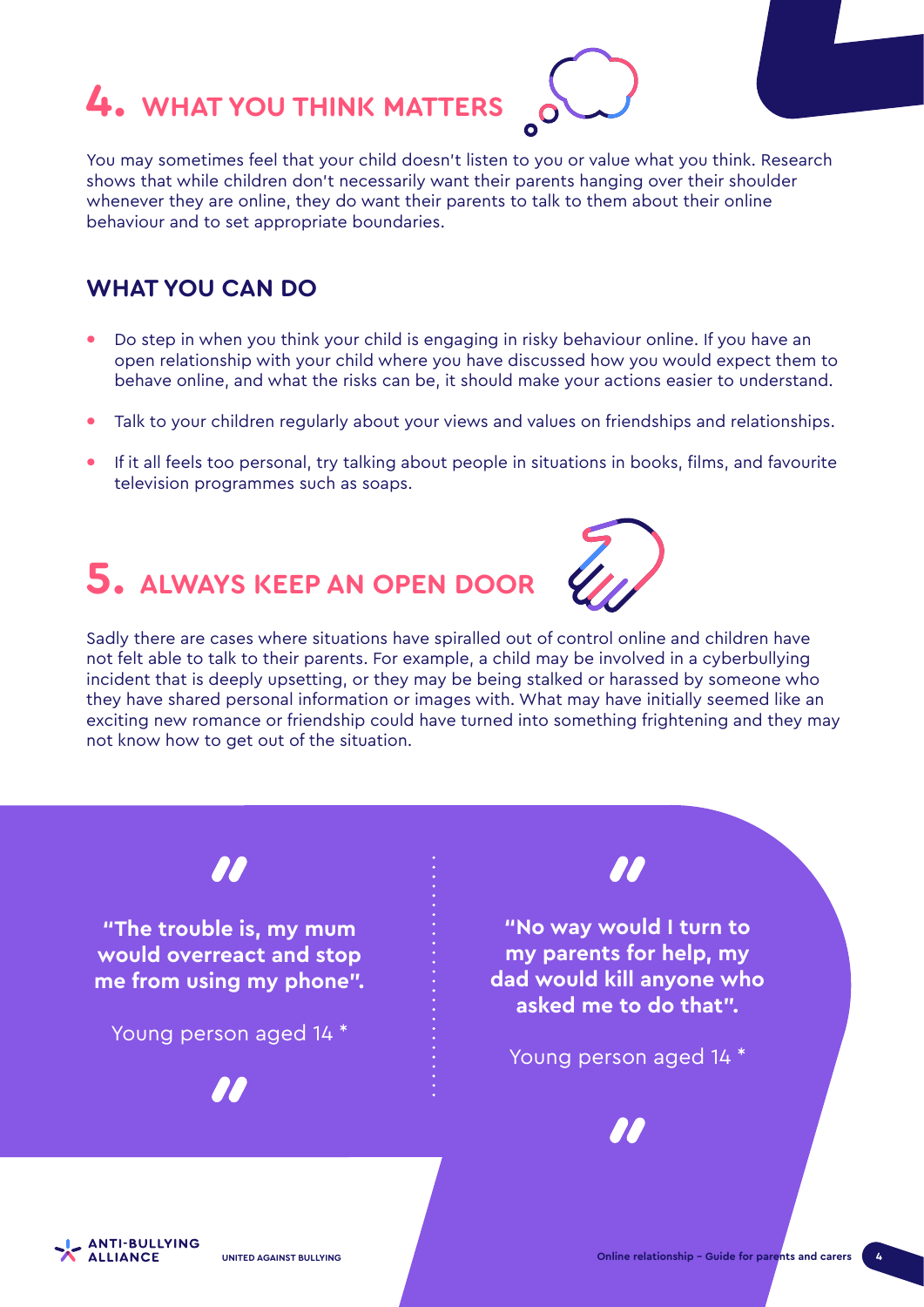# **4. WHAT YOU THINK MATTERS**

You may sometimes feel that your child doesn't listen to you or value what you think. Research shows that while children don't necessarily want their parents hanging over their shoulder whenever they are online, they do want their parents to talk to them about their online behaviour and to set appropriate boundaries.

#### **WHAT YOU CAN DO**

- **•** Do step in when you think your child is engaging in risky behaviour online. If you have an open relationship with your child where you have discussed how you would expect them to behave online, and what the risks can be, it should make your actions easier to understand.
- **•** Talk to your children regularly about your views and values on friendships and relationships.
- **•** If it all feels too personal, try talking about people in situations in books, films, and favourite television programmes such as soaps.

# **5. ALWAYS KEEP AN OPEN DOOR**



Sadly there are cases where situations have spiralled out of control online and children have not felt able to talk to their parents. For example, a child may be involved in a cyberbullying incident that is deeply upsetting, or they may be being stalked or harassed by someone who they have shared personal information or images with. What may have initially seemed like an exciting new romance or friendship could have turned into something frightening and they may not know how to get out of the situation.